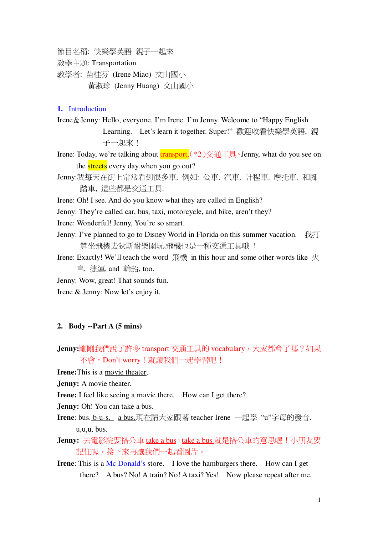節目名稱: 快樂學英語 親子一起來

教學主題: Transportation

教學者: 苗桂芬 (Irene Miao) 文山國小 黃淑珍 (Jenny Huang) 文山國小

#### **1.** Introduction

Irene & Jenny: Hello, everyone. I'm Irene. I'm Jenny. Welcome to "Happy English" Learning. Let's learn it together. Super!"歡迎收看快樂學英語, 親 子一起來!

Irene: Today, we're talking about  $\frac{\text{transport.}}{(\cdot 2)}$   $\frac{1}{\sqrt{2}}$  Jenny, what do you see on the **streets** every day when you go out?

Jenny:我每天在街上常常看到很多車, 例如: 公車, 汽車, 計程車, 摩托車, 和腳 踏車, 這些都是交通工具.

Irene: Oh! I see. And do you know what they are called in English?

Jenny: They're called car, bus, taxi, motorcycle, and bike, aren't they?

Irene: Wonderful! Jenny, You're so smart.

Jenny: I've planned to go to Disney World in Florida on this summer vacation.  $\hat{\mathbb{R}}$ 算坐飛機去狄斯耐樂園玩,飛機也是一種交通工具哦!

Irene: Exactly! We'll teach the word 飛機 in this hour and some other words like  $K$ 車, 捷運, and 輪船, too.

Jenny: Wow, great! That sounds fun.

Irene & Jenny: Now let's enjoy it.

#### **2. Body --Part A (5 mins)**

Jenny:剛剛我們說了許多 transport 交通工具的 vocabulary, 大家都會了嗎? 如果 不會, Don't worry! 就讓我們一起學習吧!

**Irene:**This is a movie theater.

**Jenny:** A movie theater.

**Irene:** I feel like seeing a movie there. How can I get there?

**Jenny:** Oh! You can take a bus.

**Irene**: bus. b-u-s. a bus.現在請大家跟著 teacher Irene 一起學"u"字母的發音. u,u,u, bus.

Jenny: 去電影院要搭公車 take a bus, take a bus 就是搭公車的意思喔!小朋友要 記住喔,接下來再讓我們一起看圖片。

**Irene**: This is a Mc Donald's store. I love the hamburgers there. How can I get there? A bus? No! A train? No! A taxi? Yes! Now please repeat after me.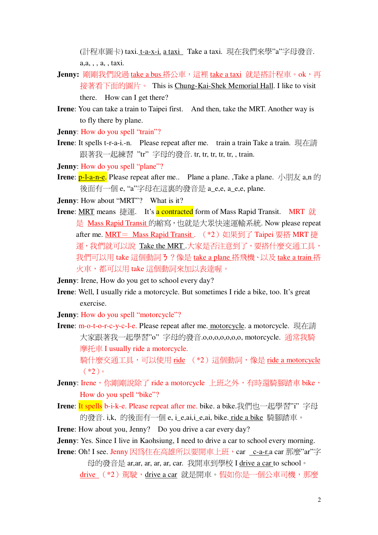(計程車圖卡) taxi. t-a-x-i. a taxi Take a taxi. 現在我們來學"a"字母發音. a,a, , , a, , taxi.

- Jenny: 剛剛我們說過 take a bus 搭公車,這裡 take a taxi 就是搭計程車。ok,再 接著看下面的圖片。 This is Chung-Kai-Shek Memorial Hall. I like to visit there. How can I get there?
- **Irene**: You can take a train to Taipei first. And then, take the MRT. Another way is to fly there by plane.
- **Jenny:** How do you spell "train"?
- **Irene**: It spells t-r-a-i.-n. Please repeat after me. train a train Take a train. 現在請 跟著我一起練習 "tr" 字母的發音. tr, tr, tr, tr, tr, , train.
- **Jenny:** How do you spell "plane"?
- **Irene**:  $p$ -l-a-n-e. Please repeat after me.. Plane a plane. ,Take a plane.  $\sqrt{\frac{m}{\lambda}}$  a,n  $\dot{\beta}$ 後面有一個 e, "a"字母在這裏的發音是 a\_e,e, a\_e,e, plane.

**Jenny**: How about "MRT"? What is it?

**Irene**: MRT means 捷運. It's a contracted form of Mass Rapid Transit. MRT 就 是 Mass Rapid Transit 的縮寫, 也就是大眾快速運輸系統. Now please repeat after me. MRT = Mass Rapid Transit .  $(*2)$  如果到了 Taipei 要搭 MRT 捷 運,我們就可以說 Take the MRT.大家是否注意到了,要搭什麼交通工具, 我們可以用 take 這個動詞 3 ? 像是 take a plane 搭飛機、以及 take a train 搭 火車,都可以用 take 這個動詞來加以表達喔。

**Jenny**: Irene, How do you get to school every day?

**Irene**: Well, I usually ride a motorcycle. But sometimes I ride a bike, too. It's great exercise.

**Jenny**: How do you spell "motorcycle"?

**Irene**: m-o-t-o-r-c-y-c-l-e. Please repeat after me. motorcycle. a motorcycle. 現在請 大家跟著我一起學習"o"字母的發音.o,o,o,o,o,o,o,o, motorcycle. 通常我騎 摩托車 I usually ride a motorcycle. 騎什麼交通工具,可以使用 ride (\*2)這個動詞,像是 ride a motorcycle

 $(*2)$ 

- Jenny: Irene,你剛剛說除了 ride a motorcycle 上班之外,有時還騎腳踏車 bike, How do you spell "bike"?
- **Irene:** It spells b-i-k-e. Please repeat after me. bike. a bike.我們也一起學習"i"字母 的發音. i,k, 的後面有一個 e, i\_e,ai,i\_e,ai, bike. ride a bike 騎腳踏車。

**Irene**: How about you, Jenny? Do you drive a car every day?

- **Jenny**: Yes. Since I live in Kaohsiung, I need to drive a car to school every morning.
- **Irene**: Oh! I see. Jenny 因為住在高雄所以要開車上班, car c-a-r.a car 那麼"ar"字

母的發音是 ar,ar, ar, ar, ar, car. 我開車到學校 I drive a car to school。 drive (\*2)駕駛,drive a car 就是開車。假如你是一個公車司機,那麼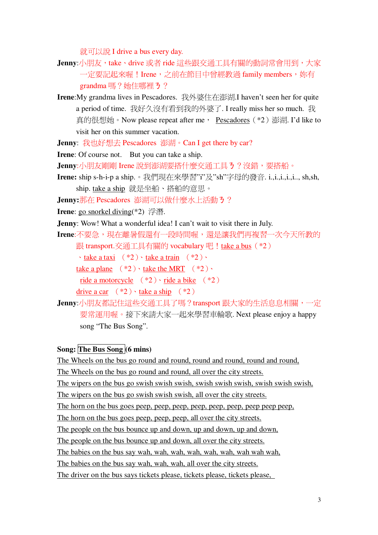就可以說 I drive a bus every day.

- Jenny:小朋友,take、drive 或者 ride 這些跟交通工具有關的動詞常會用到,大家 一定要記起來喔!Irene, 之前在節目中曾經教過 family members, 妳有 grandma嗎?她住哪裡3?
- **Irene:**My grandma lives in Pescadores. 我外婆住在澎湖.I haven't seen her for quite a period of time. 我好久沒有看到我的外婆了. I really miss her so much. 我 真的很想她。Now please repeat after me, Pescadores (\*2) 澎湖. I'd like to visit her on this summer vacation.

Jenny: 我也好想去 Pescadores 澎湖。Can I get there by car?

**Irene:** Of course not. But you can take a ship.

- Jenny:小朋友剛剛 Irene 說到澎湖要搭什麼交涌工具3?沒錯,要搭船。
- Irene: ship s-h-i-p a ship.。我們現在來學習"i"及"sh"字母的發音. i.,i.,i.,i.,i.,, sh,sh, ship. take a ship 就是坐船、搭船的意思。
- Jenny:那在 Pescadores 澎湖可以做什麼水上活動う?

**Irene**: go snorkel diving(\*2) 浮潛.

**Jenny**: Wow! What a wonderful idea! I can't wait to visit there in July.

Irene:不要急,現在離暑假還有一段時間喔,還是讓我們再複習一次今天所教的 跟 transport. 交通工具有關的 vocabulary 吧!take a bus (\*2)

 $\cdot$  take a taxi  $(*)$  take a train  $(*)$ .

take a plane  $(*2) \cdot$  take the MRT  $(*2) \cdot$ 

<u>ride a motorcycle</u>  $(*2)$  · <u>ride a bike</u>  $(*2)$ 

drive a car  $(*2) \cdot$  take a ship  $(*2)$ 

Jenny:小朋友都記住這些交通工具了嗎? transport 跟大家的生活息息相關, 一定 要常運用喔。接下來請大家一起來學習車輪歌. Next please enjoy a happy song "The Bus Song".

# Song: The Bus Song (6 mins)

The Wheels on the bus go round and round, round and round, round and round, The Wheels on the bus go round and round, all over the city streets. The wipers on the bus go swish swish swish, swish swish, swish, swish swish, swish, The wipers on the bus go swish swish swish, all over the city streets. The horn on the bus goes peep, peep, peep, peep, peep, peep, peep peep peep, The horn on the bus goes peep, peep, peep, all over the city streets. The people on the bus bounce up and down, up and down, up and down, The people on the bus bounce up and down, all over the city streets. The babies on the bus say wah, wah, wah, wah, wah, wah, wah wah wah, The babies on the bus say wah, wah, wah, all over the city streets. The driver on the bus says tickets please, tickets please, tickets please,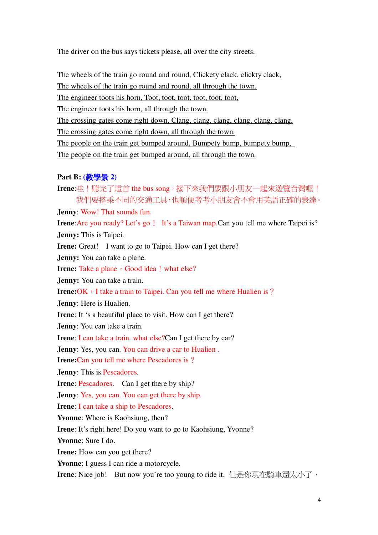The driver on the bus says tickets please, all over the city streets.

The wheels of the train go round and round, Clickety clack, clickty clack, The wheels of the train go round and round, all through the town.

The engineer toots his horn, Toot, toot, toot, toot, toot, toot,

The engineer toots his horn, all through the town.

The crossing gates come right down, Clang, clang, clang, clang, clang, clang,

The crossing gates come right down, all through the town.

The people on the train get bumped around, Bumpety bump, bumpety bump,

The people on the train get bumped around, all through the town.

# **Part B: (**- **2)**

Irene:哇!聽完了這首 the bus song, 接下來我們要跟小朋友一起來遊覽台灣喔! 我們要搭乘不同的交通工具,也順便考考小朋友會不會用英語正確的表達。 **Jenny**: Wow! That sounds fun. **Irene:** Are you ready? Let's go! It's a Taiwan map.Can you tell me where Taipei is? **Jenny:** This is Taipei. **Irene:** Great! I want to go to Taipei. How can I get there? **Jenny:** You can take a plane. **Irene:** Take a plane, Good idea! what else? **Jenny:** You can take a train. **Irene:**OK, I take a train to Taipei. Can you tell me where Hualien is? **Jenny**: Here is Hualien. **Irene**: It 's a beautiful place to visit. How can I get there? **Jenny**: You can take a train. **Irene**: I can take a train. what else?Can I get there by car? **Jenny**: Yes, you can. You can drive a car to Hualien. **Irene:**Can you tell me where Pescadores is? **Jenny**: This is Pescadores. **Irene:** Pescadores. Can I get there by ship? **Jenny**: Yes, you can. You can get there by ship. **Irene**: I can take a ship to Pescadores. **Yvonne**: Where is Kaohsiung, then? **Irene**: It's right here! Do you want to go to Kaohsiung, Yvonne? **Yvonne**: Sure I do. **Irene:** How can you get there? **Yvonne**: I guess I can ride a motorcycle. Irene: Nice job! But now you're too young to ride it. 但是你現在騎車還太小了,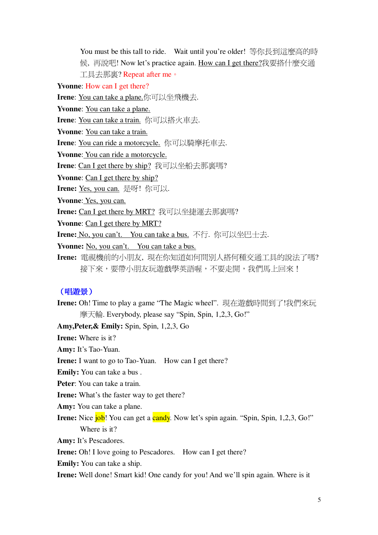You must be this tall to ride. Wait until you're older! 等你長到這麼高的時 候, 再說吧! Now let's practice again. How can I get there?我要搭什麼交通 工具去那真? Repeat after me。

**Yvonne:** How can I get there?

Irene: You can take a plane.你可以坐飛機去.

**Yvonne:** You can take a plane.

Irene: You can take a train. 你可以搭火車去.

Yvonne: You can take a train.

Irene: You can ride a motorcycle. 你可以騎摩托車去.

Yvonne: You can ride a motorcycle.

**Irene:** Can I get there by ship? 我可以坐船去那裏嗎?

**Yvonne:** Can I get there by ship?

Irene: Yes, you can. 是呀! 你可以.

Yvonne: Yes, you can.

**Irene:** Can I get there by MRT? 我可以坐捷運去那裏嗎?

**Yvonne:** Can I get there by MRT?

Irene: No, you can't. You can take a bus. 不行. 你可以坐巴士去.

Yvonne: No, you can't. You can take a bus.

Irene: 電視機前的小朋友, 現在你知道如何問別人搭何種交通工具的說法了嗎? 接下來,要帶小朋友玩游戲學英語喔,不要走開,我們馬上回來!

## (唱遊景)

Irene: Oh! Time to play a game "The Magic wheel". 現在遊戲時間到了!我們來玩 摩天輪. Everybody, please say "Spin, Spin, 1,2,3, Go!"

Amy, Peter, & Emily: Spin, Spin, 1,2,3, Go

**Irene:** Where is it?

Amy: It's Tao-Yuan.

**Irene:** I want to go to Tao-Yuan. How can I get there?

**Emily:** You can take a bus.

Peter: You can take a train.

**Irene:** What's the faster way to get there?

**Amy:** You can take a plane.

**Irene:** Nice job! You can get a candy. Now let's spin again. "Spin, Spin, 1,2,3, Go!" Where is it?

**Amy:** It's Pescadores.

**Irene:** Oh! I love going to Pescadores. How can I get there?

**Emily:** You can take a ship.

**Irene:** Well done! Smart kid! One candy for you! And we'll spin again. Where is it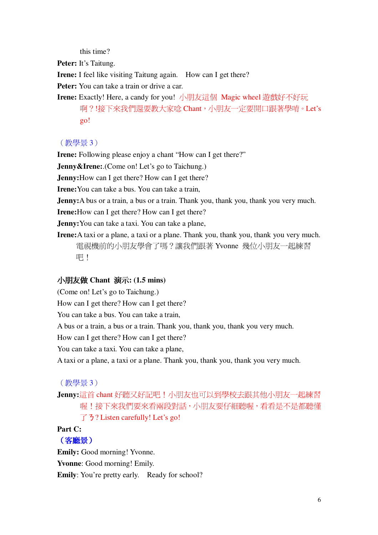this time?

Peter: It's Taitung.

**Irene:** I feel like visiting Taitung again. How can I get there?

**Peter:** You can take a train or drive a car.

Irene: Exactly! Here, a candy for you! 小朋友這個 Magic wheel 遊戲好不好玩 啊?!接下來我們還要教大家唸 Chant, 小朋友一定要開口跟著學唷。Let's  $g_0!$ 

## (教學景3)

**Irene:** Following please enjoy a chant "How can I get there?"

**Jenny & Irene:** (Come on! Let's go to Taichung.)

**Jenny:** How can I get there? How can I get there?

**Irene:** You can take a bus. You can take a train.

**Jenny:** A bus or a train, a bus or a train. Thank you, thank you, thank you very much.

**Irene:** How can I get there? How can I get there?

**Jenny:** You can take a taxi. You can take a plane,

**Irene:** A taxi or a plane, a taxi or a plane. Thank you, thank you, thank you very much. 電視機前的小朋友學會了嗎?讓我們跟著 Yvonne 幾位小朋友一起練習 吧!

## 小朋友做 Chant 演示: (1.5 mins)

(Come on! Let's go to Taichung.)

How can I get there? How can I get there?

You can take a bus. You can take a train,

A bus or a train, a bus or a train. Thank you, thank you, thank you very much.

How can I get there? How can I get there?

You can take a taxi. You can take a plane,

A taxi or a plane, a taxi or a plane. Thank you, thank you, thank you very much.

#### (教學景3)

Jenny:這首 chant 好聽又好記吧!小朋友也可以到學校去跟其他小朋友一起練習 喔!接下來我們要來看兩段對話,小朋友要仔細聽喔,看看是不是都聽懂  $\uparrow$  3? Listen carefully! Let's go!

# Part C:

## (客廳景)

**Emily:** Good morning! Yvonne. **Yvonne:** Good morning! Emily. **Emily:** You're pretty early. Ready for school?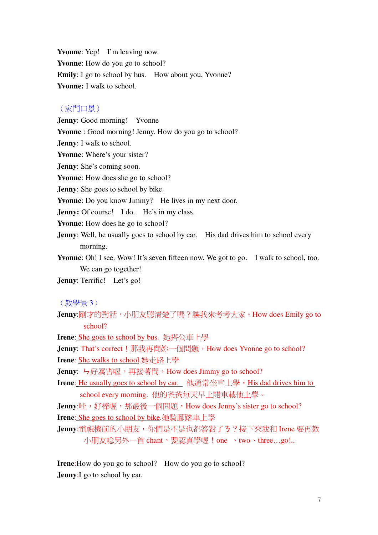**Yvonne**: Yep! I'm leaving now. **Yvonne**: How do you go to school? **Emily**: I go to school by bus. How about you, Yvonne? **Yvonne:** I walk to school.

## (家門口景)

**Jenny**: Good morning! Yvonne **Yvonne** : Good morning! Jenny. How do you go to school? **Jenny**: I walk to school. **Yvonne**: Where's your sister? **Jenny**: She's coming soon. **Yvonne**: How does she go to school? **Jenny**: She goes to school by bike. **Yvonne**: Do you know Jimmy? He lives in my next door. **Jenny:** Of course! I do. He's in my class. **Yvonne**: How does he go to school? **Jenny**: Well, he usually goes to school by car. His dad drives him to school every morning. **Yvonne**: Oh! I see. Wow! It's seven fifteen now. We got to go. I walk to school, too.

We can go together!

**Jenny**: Terrific! Let's go!

(教學景3)

Jenny:剛才的對話,小朋友聽清楚了嗎?讓我來考考大家。How does Emily go to school?

**Irene**: She goes to school by bus. 她搭公車上學

**Jenny**: That's correct ! 那我再問妳一個問題, How does Yvonne go to school?

**Irene: She walks to school.她走路上學** 

Jenny: <del>り</del>好厲害喔,再接著間, How does Jimmy go to school?

**Irene:** He usually goes to school by car. 他通常坐車上學, His dad drives him to school every morning. 他的爸爸每天早上開車載他上學。

**Jenny**:哇,好棒喔,那最後一個問題,How does Jenny's sister go to school? **Irene**: She goes to school by bike.她騎腳踏車上學

Jenny:電視機前的小朋友,你們是不是也都答對了3?接下來我和 Irene 要再教 小朋友唸另外一首 chant,要認真學喔!one 、two、three…go!..

**Irene**:How do you go to school? How do you go to school? **Jenny:** I go to school by car.